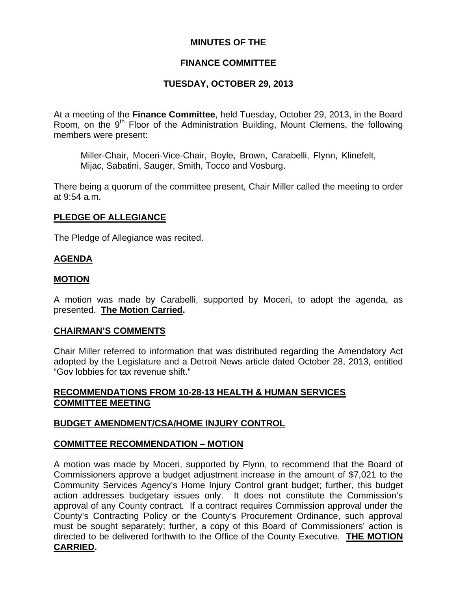# **MINUTES OF THE**

# **FINANCE COMMITTEE**

# **TUESDAY, OCTOBER 29, 2013**

At a meeting of the **Finance Committee**, held Tuesday, October 29, 2013, in the Board Room, on the  $9<sup>th</sup>$  Floor of the Administration Building, Mount Clemens, the following members were present:

Miller-Chair, Moceri-Vice-Chair, Boyle, Brown, Carabelli, Flynn, Klinefelt, Mijac, Sabatini, Sauger, Smith, Tocco and Vosburg.

There being a quorum of the committee present, Chair Miller called the meeting to order at 9:54 a.m.

#### **PLEDGE OF ALLEGIANCE**

The Pledge of Allegiance was recited.

#### **AGENDA**

#### **MOTION**

A motion was made by Carabelli, supported by Moceri, to adopt the agenda, as presented. **The Motion Carried.** 

#### **CHAIRMAN'S COMMENTS**

Chair Miller referred to information that was distributed regarding the Amendatory Act adopted by the Legislature and a Detroit News article dated October 28, 2013, entitled "Gov lobbies for tax revenue shift."

# **RECOMMENDATIONS FROM 10-28-13 HEALTH & HUMAN SERVICES COMMITTEE MEETING**

#### **BUDGET AMENDMENT/CSA/HOME INJURY CONTROL**

#### **COMMITTEE RECOMMENDATION – MOTION**

A motion was made by Moceri, supported by Flynn, to recommend that the Board of Commissioners approve a budget adjustment increase in the amount of \$7,021 to the Community Services Agency's Home Injury Control grant budget; further, this budget action addresses budgetary issues only. It does not constitute the Commission's approval of any County contract. If a contract requires Commission approval under the County's Contracting Policy or the County's Procurement Ordinance, such approval must be sought separately; further, a copy of this Board of Commissioners' action is directed to be delivered forthwith to the Office of the County Executive. **THE MOTION CARRIED.**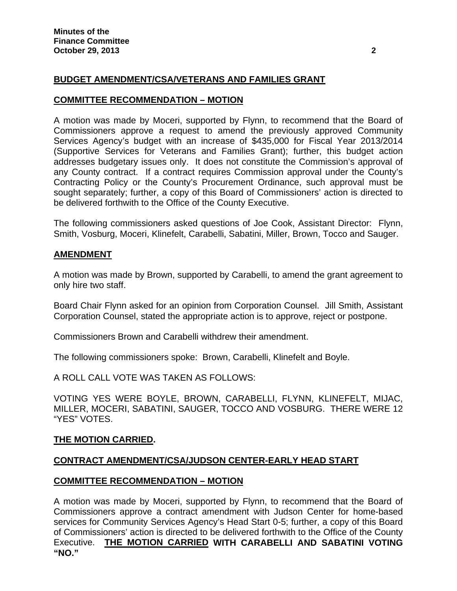# **BUDGET AMENDMENT/CSA/VETERANS AND FAMILIES GRANT**

#### **COMMITTEE RECOMMENDATION – MOTION**

A motion was made by Moceri, supported by Flynn, to recommend that the Board of Commissioners approve a request to amend the previously approved Community Services Agency's budget with an increase of \$435,000 for Fiscal Year 2013/2014 (Supportive Services for Veterans and Families Grant); further, this budget action addresses budgetary issues only. It does not constitute the Commission's approval of any County contract. If a contract requires Commission approval under the County's Contracting Policy or the County's Procurement Ordinance, such approval must be sought separately; further, a copy of this Board of Commissioners' action is directed to be delivered forthwith to the Office of the County Executive.

The following commissioners asked questions of Joe Cook, Assistant Director: Flynn, Smith, Vosburg, Moceri, Klinefelt, Carabelli, Sabatini, Miller, Brown, Tocco and Sauger.

#### **AMENDMENT**

A motion was made by Brown, supported by Carabelli, to amend the grant agreement to only hire two staff.

Board Chair Flynn asked for an opinion from Corporation Counsel. Jill Smith, Assistant Corporation Counsel, stated the appropriate action is to approve, reject or postpone.

Commissioners Brown and Carabelli withdrew their amendment.

The following commissioners spoke: Brown, Carabelli, Klinefelt and Boyle.

A ROLL CALL VOTE WAS TAKEN AS FOLLOWS:

VOTING YES WERE BOYLE, BROWN, CARABELLI, FLYNN, KLINEFELT, MIJAC, MILLER, MOCERI, SABATINI, SAUGER, TOCCO AND VOSBURG. THERE WERE 12 "YES" VOTES.

#### **THE MOTION CARRIED.**

#### **CONTRACT AMENDMENT/CSA/JUDSON CENTER-EARLY HEAD START**

#### **COMMITTEE RECOMMENDATION – MOTION**

A motion was made by Moceri, supported by Flynn, to recommend that the Board of Commissioners approve a contract amendment with Judson Center for home-based services for Community Services Agency's Head Start 0-5; further, a copy of this Board of Commissioners' action is directed to be delivered forthwith to the Office of the County Executive. **THE MOTION CARRIED WITH CARABELLI AND SABATINI VOTING "NO."**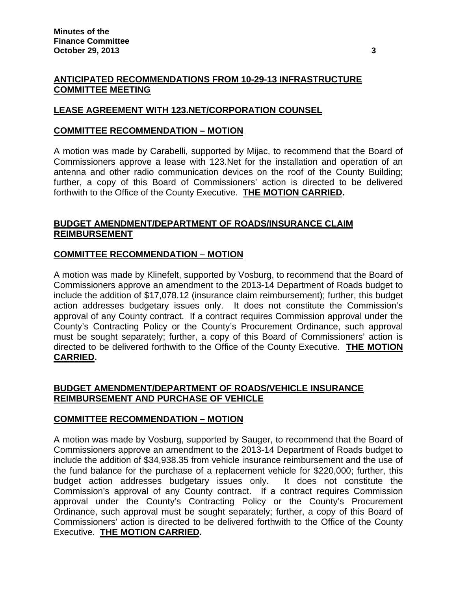# **ANTICIPATED RECOMMENDATIONS FROM 10-29-13 INFRASTRUCTURE COMMITTEE MEETING**

# **LEASE AGREEMENT WITH 123.NET/CORPORATION COUNSEL**

#### **COMMITTEE RECOMMENDATION – MOTION**

A motion was made by Carabelli, supported by Mijac, to recommend that the Board of Commissioners approve a lease with 123.Net for the installation and operation of an antenna and other radio communication devices on the roof of the County Building; further, a copy of this Board of Commissioners' action is directed to be delivered forthwith to the Office of the County Executive. **THE MOTION CARRIED.**

# **BUDGET AMENDMENT/DEPARTMENT OF ROADS/INSURANCE CLAIM REIMBURSEMENT**

# **COMMITTEE RECOMMENDATION – MOTION**

A motion was made by Klinefelt, supported by Vosburg, to recommend that the Board of Commissioners approve an amendment to the 2013-14 Department of Roads budget to include the addition of \$17,078.12 (insurance claim reimbursement); further, this budget action addresses budgetary issues only. It does not constitute the Commission's approval of any County contract. If a contract requires Commission approval under the County's Contracting Policy or the County's Procurement Ordinance, such approval must be sought separately; further, a copy of this Board of Commissioners' action is directed to be delivered forthwith to the Office of the County Executive. **THE MOTION CARRIED.** 

# **BUDGET AMENDMENT/DEPARTMENT OF ROADS/VEHICLE INSURANCE REIMBURSEMENT AND PURCHASE OF VEHICLE**

# **COMMITTEE RECOMMENDATION – MOTION**

A motion was made by Vosburg, supported by Sauger, to recommend that the Board of Commissioners approve an amendment to the 2013-14 Department of Roads budget to include the addition of \$34,938.35 from vehicle insurance reimbursement and the use of the fund balance for the purchase of a replacement vehicle for \$220,000; further, this budget action addresses budgetary issues only. It does not constitute the Commission's approval of any County contract. If a contract requires Commission approval under the County's Contracting Policy or the County's Procurement Ordinance, such approval must be sought separately; further, a copy of this Board of Commissioners' action is directed to be delivered forthwith to the Office of the County Executive. **THE MOTION CARRIED.**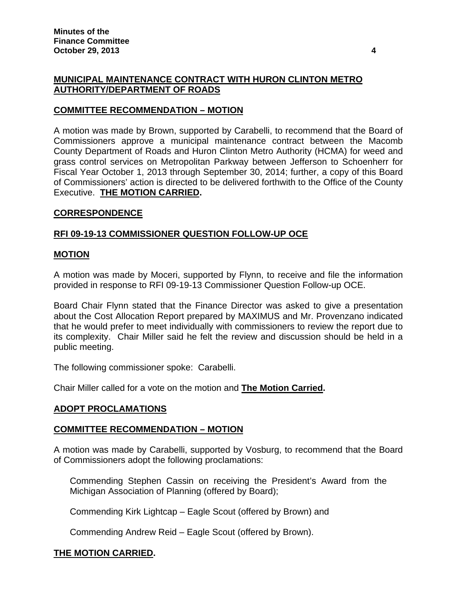# **MUNICIPAL MAINTENANCE CONTRACT WITH HURON CLINTON METRO AUTHORITY/DEPARTMENT OF ROADS**

# **COMMITTEE RECOMMENDATION – MOTION**

A motion was made by Brown, supported by Carabelli, to recommend that the Board of Commissioners approve a municipal maintenance contract between the Macomb County Department of Roads and Huron Clinton Metro Authority (HCMA) for weed and grass control services on Metropolitan Parkway between Jefferson to Schoenherr for Fiscal Year October 1, 2013 through September 30, 2014; further, a copy of this Board of Commissioners' action is directed to be delivered forthwith to the Office of the County Executive. **THE MOTION CARRIED.** 

#### **CORRESPONDENCE**

# **RFI 09-19-13 COMMISSIONER QUESTION FOLLOW-UP OCE**

#### **MOTION**

A motion was made by Moceri, supported by Flynn, to receive and file the information provided in response to RFI 09-19-13 Commissioner Question Follow-up OCE.

Board Chair Flynn stated that the Finance Director was asked to give a presentation about the Cost Allocation Report prepared by MAXIMUS and Mr. Provenzano indicated that he would prefer to meet individually with commissioners to review the report due to its complexity. Chair Miller said he felt the review and discussion should be held in a public meeting.

The following commissioner spoke: Carabelli.

Chair Miller called for a vote on the motion and **The Motion Carried.** 

# **ADOPT PROCLAMATIONS**

#### **COMMITTEE RECOMMENDATION – MOTION**

A motion was made by Carabelli, supported by Vosburg, to recommend that the Board of Commissioners adopt the following proclamations:

Commending Stephen Cassin on receiving the President's Award from the Michigan Association of Planning (offered by Board);

Commending Kirk Lightcap – Eagle Scout (offered by Brown) and

Commending Andrew Reid – Eagle Scout (offered by Brown).

# **THE MOTION CARRIED.**